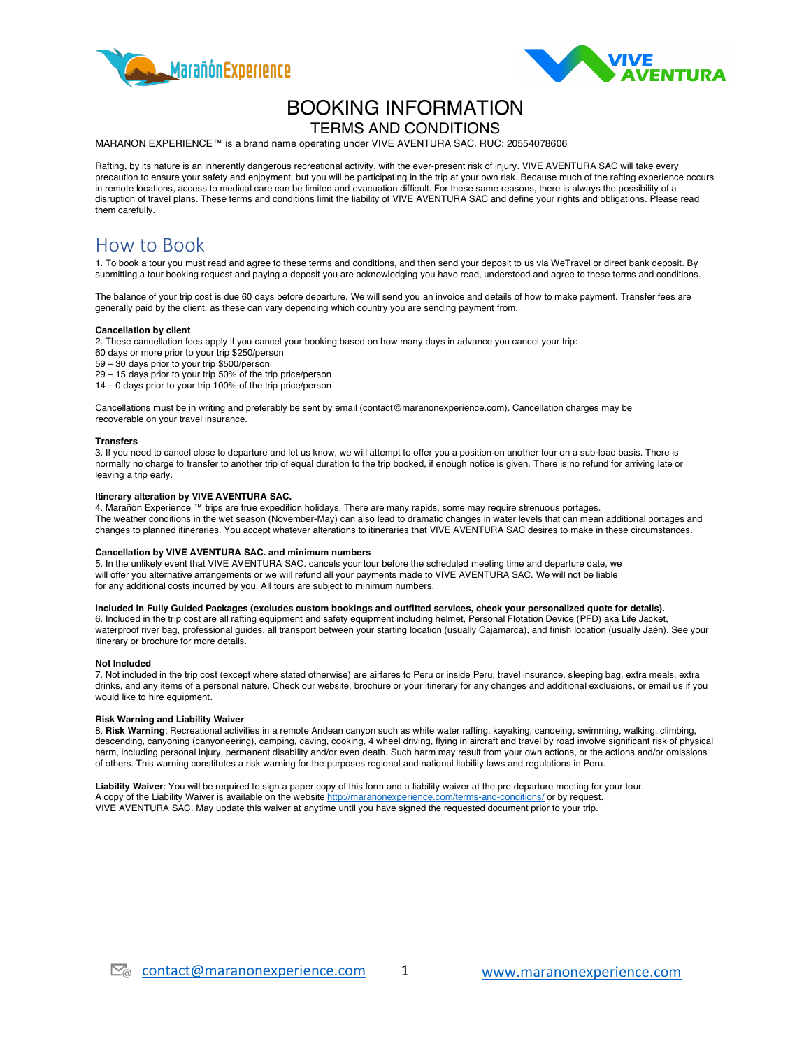



# BOOKING INFORMATION

### TERMS AND CONDITIONS

MARANON EXPERIENCE™ is a brand name operating under VIVE AVENTURA SAC. RUC: 20554078606

Rafting, by its nature is an inherently dangerous recreational activity, with the ever-present risk of injury. VIVE AVENTURA SAC will take every precaution to ensure your safety and enjoyment, but you will be participating in the trip at your own risk. Because much of the rafting experience occurs in remote locations, access to medical care can be limited and evacuation difficult. For these same reasons, there is always the possibility of a disruption of travel plans. These terms and conditions limit the liability of VIVE AVENTURA SAC and define your rights and obligations. Please read them carefully.

## How to Book

1. To book a tour you must read and agree to these terms and conditions, and then send your deposit to us via WeTravel or direct bank deposit. By submitting a tour booking request and paying a deposit you are acknowledging you have read, understood and agree to these terms and conditions.

The balance of your trip cost is due 60 days before departure. We will send you an invoice and details of how to make payment. Transfer fees are generally paid by the client, as these can vary depending which country you are sending payment from.

#### **Cancellation by client**

2. These cancellation fees apply if you cancel your booking based on how many days in advance you cancel your trip:

- 60 days or more prior to your trip \$250/person
- 59 30 days prior to your trip \$500/person
- 29 15 days prior to your trip 50% of the trip price/person
- 14 0 days prior to your trip 100% of the trip price/person

Cancellations must be in writing and preferably be sent by email (contact@maranonexperience.com). Cancellation charges may be recoverable on your travel insurance.

#### **Transfers**

3. If you need to cancel close to departure and let us know, we will attempt to offer you a position on another tour on a sub-load basis. There is normally no charge to transfer to another trip of equal duration to the trip booked, if enough notice is given. There is no refund for arriving late or leaving a trip early.

#### **Itinerary alteration by VIVE AVENTURA SAC.**

4. Marañón Experience ™ trips are true expedition holidays. There are many rapids, some may require strenuous portages. The weather conditions in the wet season (November-May) can also lead to dramatic changes in water levels that can mean additional portages and changes to planned itineraries. You accept whatever alterations to itineraries that VIVE AVENTURA SAC desires to make in these circumstances.

#### **Cancellation by VIVE AVENTURA SAC. and minimum numbers**

5. In the unlikely event that VIVE AVENTURA SAC. cancels your tour before the scheduled meeting time and departure date, we will offer you alternative arrangements or we will refund all your payments made to VIVE AVENTURA SAC. We will not be liable for any additional costs incurred by you. All tours are subject to minimum numbers.

#### **Included in Fully Guided Packages (excludes custom bookings and outfitted services, check your personalized quote for details).**

6. Included in the trip cost are all rafting equipment and safety equipment including helmet, Personal Flotation Device (PFD) aka Life Jacket, waterproof river bag, professional guides, all transport between your starting location (usually Cajamarca), and finish location (usually Jaén). See your itinerary or brochure for more details.

#### **Not Included**

7. Not included in the trip cost (except where stated otherwise) are airfares to Peru or inside Peru, travel insurance, sleeping bag, extra meals, extra drinks, and any items of a personal nature. Check our website, brochure or your itinerary for any changes and additional exclusions, or email us if you would like to hire equipment.

#### **Risk Warning and Liability Waiver**

8. **Risk Warning**: Recreational activities in a remote Andean canyon such as white water rafting, kayaking, canoeing, swimming, walking, climbing, descending, canyoning (canyoneering), camping, caving, cooking, 4 wheel driving, flying in aircraft and travel by road involve significant risk of physical harm, including personal injury, permanent disability and/or even death. Such harm may result from your own actions, or the actions and/or omissions of others. This warning constitutes a risk warning for the purposes regional and national liability laws and regulations in Peru.

**Liability Waiver**: You will be required to sign a paper copy of this form and a liability waiver at the pre departure meeting for your tour. A copy of the Liability Waiver is available on the website http://maranonexperience.com/terms-and-conditions/ or by request. VIVE AVENTURA SAC. May update this waiver at anytime until you have signed the requested document prior to your trip.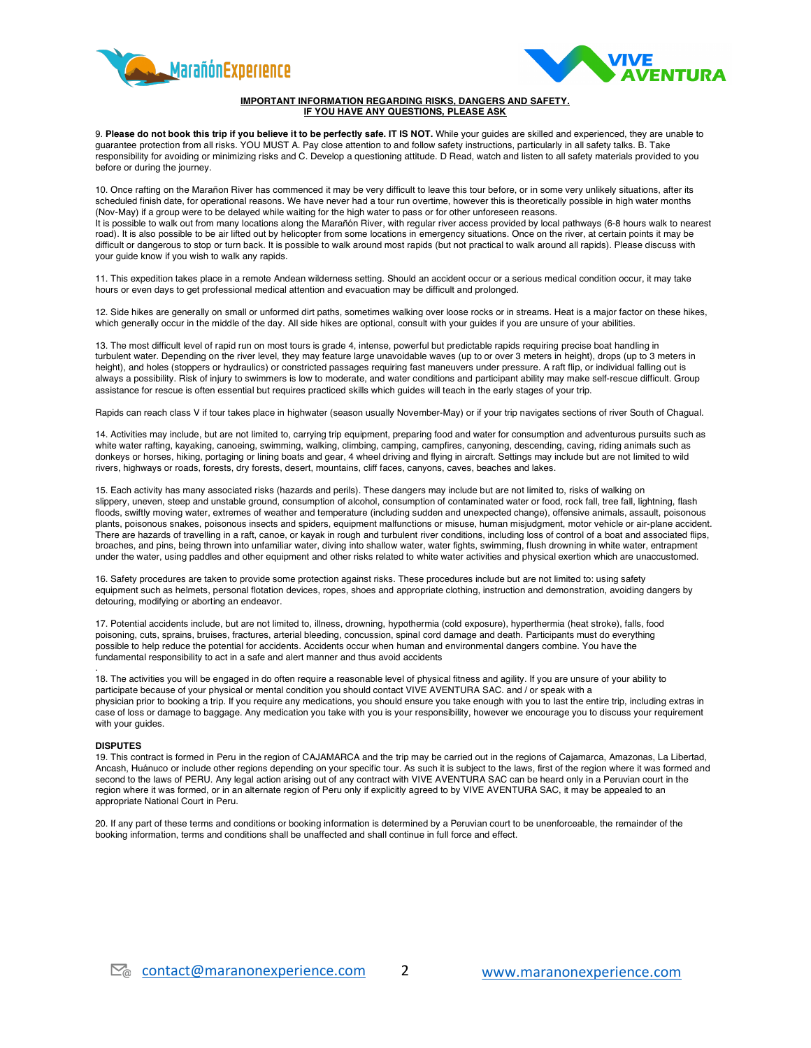



#### **IMPORTANT INFORMATION REGARDING RISKS, DANGERS AND SAFETY. IF YOU HAVE ANY QUESTIONS, PLEASE ASK**

9. **Please do not book this trip if you believe it to be perfectly safe. IT IS NOT.** While your guides are skilled and experienced, they are unable to guarantee protection from all risks. YOU MUST A. Pay close attention to and follow safety instructions, particularly in all safety talks. B. Take responsibility for avoiding or minimizing risks and C. Develop a questioning attitude. D Read, watch and listen to all safety materials provided to you before or during the journey.

10. Once rafting on the Marañon River has commenced it may be very difficult to leave this tour before, or in some very unlikely situations, after its scheduled finish date, for operational reasons. We have never had a tour run overtime, however this is theoretically possible in high water months (Nov-May) if a group were to be delayed while waiting for the high water to pass or for other unforeseen reasons. It is possible to walk out from many locations along the Marañón River, with regular river access provided by local pathways (6-8 hours walk to nearest road). It is also possible to be air lifted out by helicopter from some locations in emergency situations. Once on the river, at certain points it may be difficult or dangerous to stop or turn back. It is possible to walk around most rapids (but not practical to walk around all rapids). Please discuss with your guide know if you wish to walk any rapids.

11. This expedition takes place in a remote Andean wilderness setting. Should an accident occur or a serious medical condition occur, it may take hours or even days to get professional medical attention and evacuation may be difficult and prolonged.

12. Side hikes are generally on small or unformed dirt paths, sometimes walking over loose rocks or in streams. Heat is a major factor on these hikes, which generally occur in the middle of the day. All side hikes are optional, consult with your guides if you are unsure of your abilities.

13. The most difficult level of rapid run on most tours is grade 4, intense, powerful but predictable rapids requiring precise boat handling in turbulent water. Depending on the river level, they may feature large unavoidable waves (up to or over 3 meters in height), drops (up to 3 meters in height), and holes (stoppers or hydraulics) or constricted passages requiring fast maneuvers under pressure. A raft flip, or individual falling out is always a possibility. Risk of injury to swimmers is low to moderate, and water conditions and participant ability may make self-rescue difficult. Group assistance for rescue is often essential but requires practiced skills which guides will teach in the early stages of your trip.

Rapids can reach class V if tour takes place in highwater (season usually November-May) or if your trip navigates sections of river South of Chagual.

14. Activities may include, but are not limited to, carrying trip equipment, preparing food and water for consumption and adventurous pursuits such as white water rafting, kayaking, canoeing, swimming, walking, climbing, camping, campfires, canyoning, descending, caving, riding animals such as donkeys or horses, hiking, portaging or lining boats and gear, 4 wheel driving and flying in aircraft. Settings may include but are not limited to wild rivers, highways or roads, forests, dry forests, desert, mountains, cliff faces, canyons, caves, beaches and lakes.

15. Each activity has many associated risks (hazards and perils). These dangers may include but are not limited to, risks of walking on slippery, uneven, steep and unstable ground, consumption of alcohol, consumption of contaminated water or food, rock fall, tree fall, lightning, flash floods, swiftly moving water, extremes of weather and temperature (including sudden and unexpected change), offensive animals, assault, poisonous plants, poisonous snakes, poisonous insects and spiders, equipment malfunctions or misuse, human misjudgment, motor vehicle or air-plane accident. There are hazards of travelling in a raft, canoe, or kayak in rough and turbulent river conditions, including loss of control of a boat and associated flips, broaches, and pins, being thrown into unfamiliar water, diving into shallow water, water fights, swimming, flush drowning in white water, entrapment under the water, using paddles and other equipment and other risks related to white water activities and physical exertion which are unaccustomed.

16. Safety procedures are taken to provide some protection against risks. These procedures include but are not limited to: using safety equipment such as helmets, personal flotation devices, ropes, shoes and appropriate clothing, instruction and demonstration, avoiding dangers by detouring, modifying or aborting an endeavor.

17. Potential accidents include, but are not limited to, illness, drowning, hypothermia (cold exposure), hyperthermia (heat stroke), falls, food poisoning, cuts, sprains, bruises, fractures, arterial bleeding, concussion, spinal cord damage and death. Participants must do everything possible to help reduce the potential for accidents. Accidents occur when human and environmental dangers combine. You have the fundamental responsibility to act in a safe and alert manner and thus avoid accidents

18. The activities you will be engaged in do often require a reasonable level of physical fitness and agility. If you are unsure of your ability to participate because of your physical or mental condition you should contact VIVE AVENTURA SAC. and / or speak with a physician prior to booking a trip. If you require any medications, you should ensure you take enough with you to last the entire trip, including extras in case of loss or damage to baggage. Any medication you take with you is your responsibility, however we encourage you to discuss your requirement with your guides.

#### **DISPUTES**

.

19. This contract is formed in Peru in the region of CAJAMARCA and the trip may be carried out in the regions of Cajamarca, Amazonas, La Libertad, Ancash, Huánuco or include other regions depending on your specific tour. As such it is subject to the laws, first of the region where it was formed and second to the laws of PERU. Any legal action arising out of any contract with VIVE AVENTURA SAC can be heard only in a Peruvian court in the region where it was formed, or in an alternate region of Peru only if explicitly agreed to by VIVE AVENTURA SAC, it may be appealed to an appropriate National Court in Peru.

20. If any part of these terms and conditions or booking information is determined by a Peruvian court to be unenforceable, the remainder of the booking information, terms and conditions shall be unaffected and shall continue in full force and effect.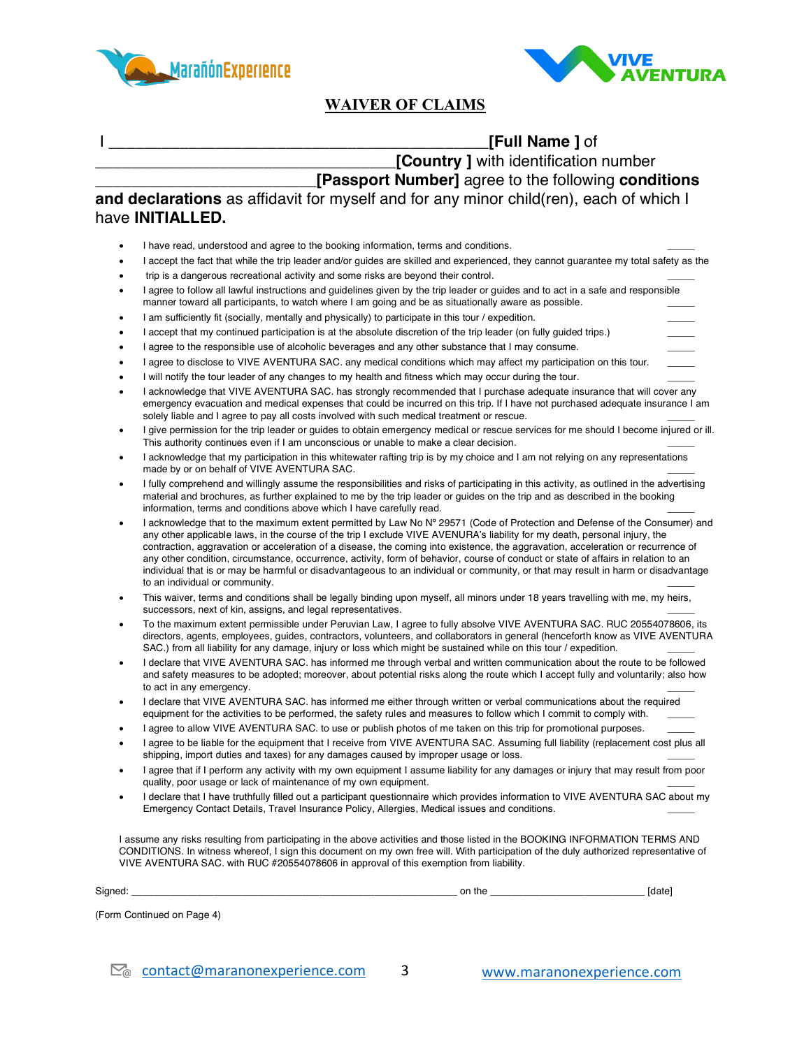



## **WAIVER OF CLAIMS**

### **IFull Name 1 of**

**\_\_\_\_\_\_\_\_\_\_\_\_\_\_\_\_\_\_\_\_\_\_\_\_\_\_\_\_\_\_\_\_\_\_[Country ]** with identification number

**\_\_\_\_\_\_\_\_\_\_\_\_\_\_\_\_\_\_\_\_\_\_\_\_\_[Passport Number]** agree to the following **conditions**

**and declarations** as affidavit for myself and for any minor child(ren), each of which I have **INITIALLED.**

- I have read, understood and agree to the booking information, terms and conditions.
- I accept the fact that while the trip leader and/or guides are skilled and experienced, they cannot guarantee my total safety as the
- trip is a dangerous recreational activity and some risks are beyond their control.
- I agree to follow all lawful instructions and guidelines given by the trip leader or guides and to act in a safe and responsible manner toward all participants, to watch where I am going and be as situationally aware as possible.
- I am sufficiently fit (socially, mentally and physically) to participate in this tour / expedition.
- I accept that my continued participation is at the absolute discretion of the trip leader (on fully guided trips.)
- I agree to the responsible use of alcoholic beverages and any other substance that I may consume.

I agree to disclose to VIVE AVENTURA SAC. any medical conditions which may affect my participation on this tour.

- I will notify the tour leader of any changes to my health and fitness which may occur during the tour.
- I acknowledge that VIVE AVENTURA SAC. has strongly recommended that I purchase adequate insurance that will cover any emergency evacuation and medical expenses that could be incurred on this trip. If I have not purchased adequate insurance I am solely liable and I agree to pay all costs involved with such medical treatment or rescue.
- I give permission for the trip leader or guides to obtain emergency medical or rescue services for me should I become injured or ill. This authority continues even if I am unconscious or unable to make a clear decision.
- I acknowledge that my participation in this whitewater rafting trip is by my choice and I am not relying on any representations made by or on behalf of VIVE AVENTURA SAC.
- I fully comprehend and willingly assume the responsibilities and risks of participating in this activity, as outlined in the advertising material and brochures, as further explained to me by the trip leader or guides on the trip and as described in the booking information, terms and conditions above which I have carefully read.
- I acknowledge that to the maximum extent permitted by Law No Nº 29571 (Code of Protection and Defense of the Consumer) and any other applicable laws, in the course of the trip I exclude VIVE AVENURA's liability for my death, personal injury, the contraction, aggravation or acceleration of a disease, the coming into existence, the aggravation, acceleration or recurrence of any other condition, circumstance, occurrence, activity, form of behavior, course of conduct or state of affairs in relation to an individual that is or may be harmful or disadvantageous to an individual or community, or that may result in harm or disadvantage to an individual or community.
- This waiver, terms and conditions shall be legally binding upon myself, all minors under 18 years travelling with me, my heirs, successors, next of kin, assigns, and legal representatives. \_\_\_\_\_
- To the maximum extent permissible under Peruvian Law, I agree to fully absolve VIVE AVENTURA SAC. RUC 20554078606, its directors, agents, employees, guides, contractors, volunteers, and collaborators in general (henceforth know as VIVE AVENTURA SAC.) from all liability for any damage, injury or loss which might be sustained while on this tour / expedition.
- I declare that VIVE AVENTURA SAC. has informed me through verbal and written communication about the route to be followed and safety measures to be adopted; moreover, about potential risks along the route which I accept fully and voluntarily; also how to act in any emergency.
- I declare that VIVE AVENTURA SAC. has informed me either through written or verbal communications about the required equipment for the activities to be performed, the safety rules and measures to follow which I commit to comply with.
- I agree to allow VIVE AVENTURA SAC. to use or publish photos of me taken on this trip for promotional purposes.
- I agree to be liable for the equipment that I receive from VIVE AVENTURA SAC. Assuming full liability (replacement cost plus all shipping, import duties and taxes) for any damages caused by improper usage or loss.
- I agree that if I perform any activity with my own equipment I assume liability for any damages or injury that may result from poor quality, poor usage or lack of maintenance of my own equipment.
- I declare that I have truthfully filled out a participant questionnaire which provides information to VIVE AVENTURA SAC about my Emergency Contact Details, Travel Insurance Policy, Allergies, Medical issues and conditions. \_\_\_\_\_

I assume any risks resulting from participating in the above activities and those listed in the BOOKING INFORMATION TERMS AND CONDITIONS. In witness whereof, I sign this document on my own free will. With participation of the duly authorized representative of VIVE AVENTURA SAC. with RUC #20554078606 in approval of this exemption from liability.

| Signed: | on the | uater |
|---------|--------|-------|
|         |        |       |

(Form Continued on Page 4)

 $\mathbb{Z}_{\odot}$  contact@maranonexperience.com 3 www.maranonexperience.com